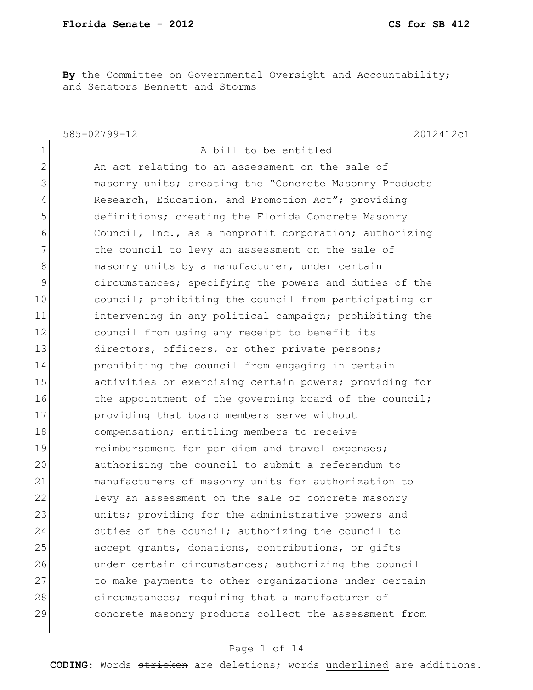**By** the Committee on Governmental Oversight and Accountability; and Senators Bennett and Storms

585-02799-12 2012412c1 1 a bill to be entitled 2 An act relating to an assessment on the sale of 3 masonry units; creating the "Concrete Masonry Products 4 Research, Education, and Promotion Act"; providing 5 definitions; creating the Florida Concrete Masonry 6 **Council, Inc., as a nonprofit corporation; authorizing** 7 The council to levy an assessment on the sale of 8 masonry units by a manufacturer, under certain 9 circumstances; specifying the powers and duties of the 10 council; prohibiting the council from participating or 11 intervening in any political campaign; prohibiting the 12 council from using any receipt to benefit its 13 directors, officers, or other private persons; 14 prohibiting the council from engaging in certain 15 activities or exercising certain powers; providing for 16 the appointment of the governing board of the council; 17 **providing that board members serve without** 18 compensation; entitling members to receive 19 19 reimbursement for per diem and travel expenses; 20 authorizing the council to submit a referendum to 21 manufacturers of masonry units for authorization to 22 levy an assessment on the sale of concrete masonry 23 and units; providing for the administrative powers and 24 duties of the council; authorizing the council to 25 accept grants, donations, contributions, or gifts 26 under certain circumstances; authorizing the council 27 to make payments to other organizations under certain 28 circumstances; requiring that a manufacturer of 29 concrete masonry products collect the assessment from

#### Page 1 of 14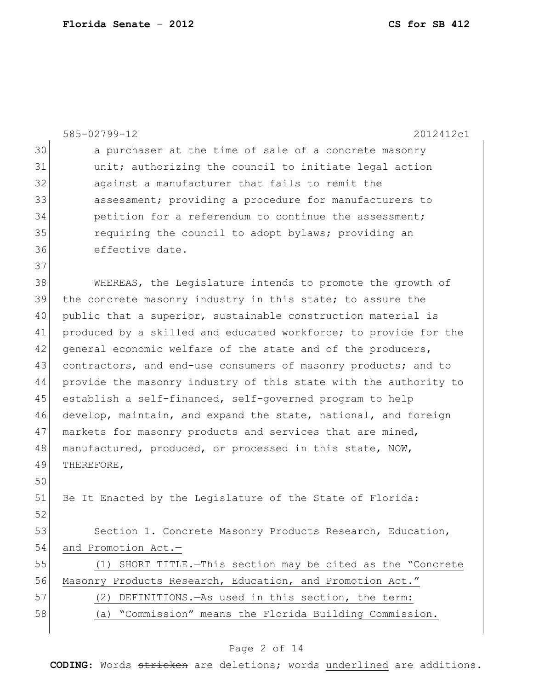|    | 585-02799-12<br>2012412c1                                        |
|----|------------------------------------------------------------------|
| 30 | a purchaser at the time of sale of a concrete masonry            |
| 31 | unit; authorizing the council to initiate legal action           |
| 32 | against a manufacturer that fails to remit the                   |
| 33 | assessment; providing a procedure for manufacturers to           |
| 34 | petition for a referendum to continue the assessment;            |
| 35 | requiring the council to adopt bylaws; providing an              |
| 36 | effective date.                                                  |
| 37 |                                                                  |
| 38 | WHEREAS, the Legislature intends to promote the growth of        |
| 39 | the concrete masonry industry in this state; to assure the       |
| 40 | public that a superior, sustainable construction material is     |
| 41 | produced by a skilled and educated workforce; to provide for the |
| 42 | general economic welfare of the state and of the producers,      |
| 43 | contractors, and end-use consumers of masonry products; and to   |
| 44 | provide the masonry industry of this state with the authority to |
| 45 | establish a self-financed, self-governed program to help         |
| 46 | develop, maintain, and expand the state, national, and foreign   |
| 47 | markets for masonry products and services that are mined,        |
| 48 | manufactured, produced, or processed in this state, NOW,         |
| 49 | THEREFORE,                                                       |
| 50 |                                                                  |
| 51 | Be It Enacted by the Legislature of the State of Florida:        |
| 52 |                                                                  |
| 53 | Section 1. Concrete Masonry Products Research, Education,        |
| 54 | and Promotion Act.-                                              |
| 55 | (1) SHORT TITLE. - This section may be cited as the "Concrete    |
| 56 | Masonry Products Research, Education, and Promotion Act."        |
| 57 | DEFINITIONS. - As used in this section, the term:<br>(2)         |
| 58 | "Commission" means the Florida Building Commission.<br>(a)       |
|    |                                                                  |

# Page 2 of 14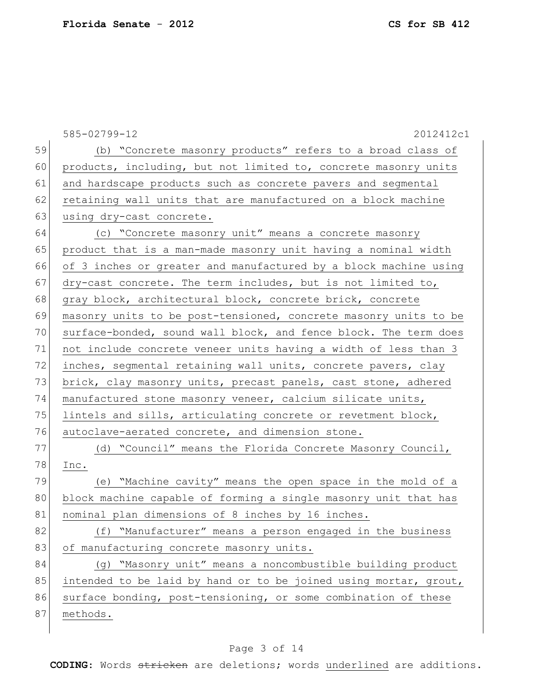|    | 585-02799-12<br>2012412c1                                        |
|----|------------------------------------------------------------------|
| 59 | (b) "Concrete masonry products" refers to a broad class of       |
| 60 | products, including, but not limited to, concrete masonry units  |
| 61 | and hardscape products such as concrete pavers and segmental     |
| 62 | retaining wall units that are manufactured on a block machine    |
| 63 | using dry-cast concrete.                                         |
| 64 | (c) "Concrete masonry unit" means a concrete masonry             |
| 65 | product that is a man-made masonry unit having a nominal width   |
| 66 | of 3 inches or greater and manufactured by a block machine using |
| 67 | dry-cast concrete. The term includes, but is not limited to,     |
| 68 | gray block, architectural block, concrete brick, concrete        |
| 69 | masonry units to be post-tensioned, concrete masonry units to be |
| 70 | surface-bonded, sound wall block, and fence block. The term does |
| 71 | not include concrete veneer units having a width of less than 3  |
| 72 | inches, segmental retaining wall units, concrete pavers, clay    |
| 73 | brick, clay masonry units, precast panels, cast stone, adhered   |
| 74 | manufactured stone masonry veneer, calcium silicate units,       |
| 75 | lintels and sills, articulating concrete or revetment block,     |
| 76 | autoclave-aerated concrete, and dimension stone.                 |
| 77 | (d) "Council" means the Florida Concrete Masonry Council,        |
| 78 | Inc.                                                             |
| 79 | (e) "Machine cavity" means the open space in the mold of a       |
| 80 | block machine capable of forming a single masonry unit that has  |
| 81 | nominal plan dimensions of 8 inches by 16 inches.                |
| 82 | (f) "Manufacturer" means a person engaged in the business        |
| 83 | of manufacturing concrete masonry units.                         |
| 84 | (q) "Masonry unit" means a noncombustible building product       |
| 85 | intended to be laid by hand or to be joined using mortar, grout, |
| 86 | surface bonding, post-tensioning, or some combination of these   |
| 87 | methods.                                                         |
|    |                                                                  |

# Page 3 of 14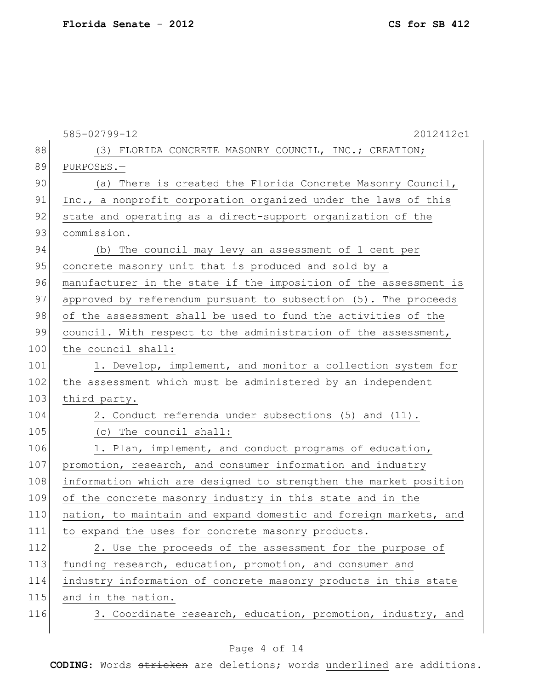|     | 585-02799-12<br>2012412c1                                        |
|-----|------------------------------------------------------------------|
| 88  | (3) FLORIDA CONCRETE MASONRY COUNCIL, INC.; CREATION;            |
| 89  | PURPOSES.-                                                       |
| 90  | (a) There is created the Florida Concrete Masonry Council,       |
| 91  | Inc., a nonprofit corporation organized under the laws of this   |
| 92  | state and operating as a direct-support organization of the      |
| 93  | commission.                                                      |
| 94  | (b) The council may levy an assessment of 1 cent per             |
| 95  | concrete masonry unit that is produced and sold by a             |
| 96  | manufacturer in the state if the imposition of the assessment is |
| 97  | approved by referendum pursuant to subsection (5). The proceeds  |
| 98  | of the assessment shall be used to fund the activities of the    |
| 99  | council. With respect to the administration of the assessment,   |
| 100 | the council shall:                                               |
| 101 | 1. Develop, implement, and monitor a collection system for       |
| 102 | the assessment which must be administered by an independent      |
| 103 | third party.                                                     |
| 104 | 2. Conduct referenda under subsections (5) and (11).             |
| 105 | (c) The council shall:                                           |
| 106 | 1. Plan, implement, and conduct programs of education,           |
| 107 | promotion, research, and consumer information and industry       |
| 108 | information which are designed to strengthen the market position |
| 109 | of the concrete masonry industry in this state and in the        |
| 110 | nation, to maintain and expand domestic and foreign markets, and |
| 111 | to expand the uses for concrete masonry products.                |
| 112 | 2. Use the proceeds of the assessment for the purpose of         |
| 113 | funding research, education, promotion, and consumer and         |
| 114 | industry information of concrete masonry products in this state  |
| 115 | and in the nation.                                               |
| 116 | 3. Coordinate research, education, promotion, industry, and      |

# Page 4 of 14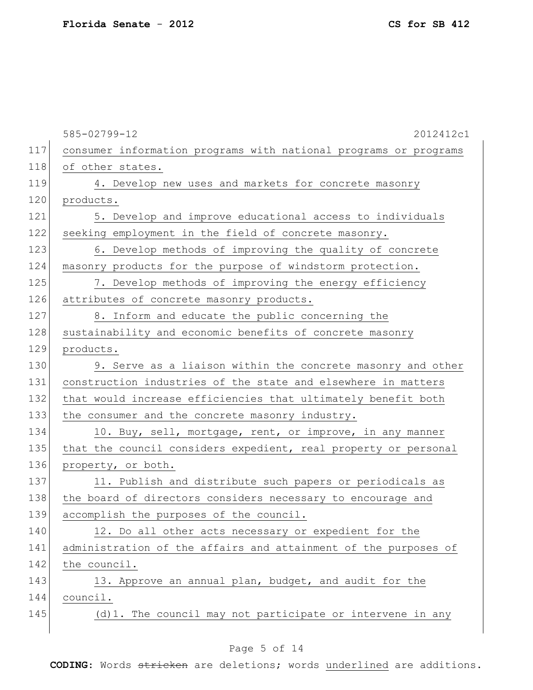|     | 585-02799-12<br>2012412c1                                        |
|-----|------------------------------------------------------------------|
| 117 | consumer information programs with national programs or programs |
| 118 | of other states.                                                 |
| 119 | 4. Develop new uses and markets for concrete masonry             |
| 120 | products.                                                        |
| 121 | 5. Develop and improve educational access to individuals         |
| 122 | seeking employment in the field of concrete masonry.             |
| 123 | 6. Develop methods of improving the quality of concrete          |
| 124 | masonry products for the purpose of windstorm protection.        |
| 125 | 7. Develop methods of improving the energy efficiency            |
| 126 | attributes of concrete masonry products.                         |
| 127 | 8. Inform and educate the public concerning the                  |
| 128 | sustainability and economic benefits of concrete masonry         |
| 129 | products.                                                        |
| 130 | 9. Serve as a liaison within the concrete masonry and other      |
| 131 | construction industries of the state and elsewhere in matters    |
| 132 | that would increase efficiencies that ultimately benefit both    |
| 133 | the consumer and the concrete masonry industry.                  |
| 134 | 10. Buy, sell, mortgage, rent, or improve, in any manner         |
| 135 | that the council considers expedient, real property or personal  |
| 136 | property, or both.                                               |
| 137 | 11. Publish and distribute such papers or periodicals as         |
| 138 | the board of directors considers necessary to encourage and      |
| 139 | accomplish the purposes of the council.                          |
| 140 | 12. Do all other acts necessary or expedient for the             |
| 141 | administration of the affairs and attainment of the purposes of  |
| 142 | the council.                                                     |
| 143 | 13. Approve an annual plan, budget, and audit for the            |
| 144 | council.                                                         |
| 145 | (d) 1. The council may not participate or intervene in any       |
|     |                                                                  |

# Page 5 of 14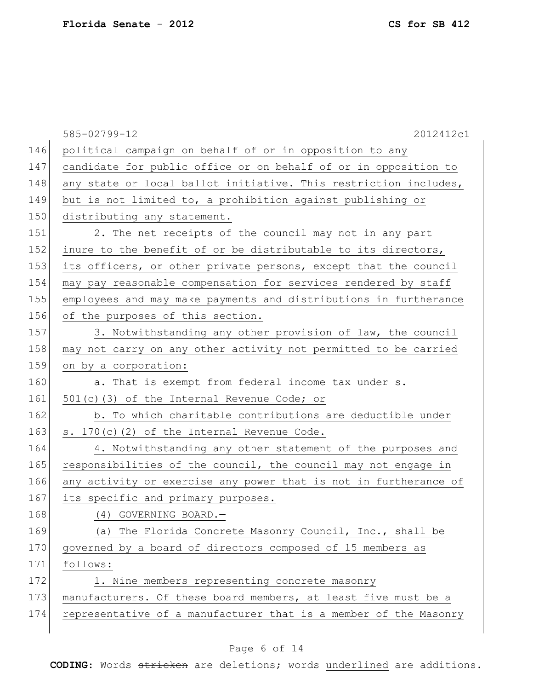585-02799-12 2012412c1 146 political campaign on behalf of or in opposition to any 147 candidate for public office or on behalf of or in opposition to 148 any state or local ballot initiative. This restriction includes, 149 but is not limited to, a prohibition against publishing or 150 distributing any statement. 151 2. The net receipts of the council may not in any part 152 inure to the benefit of or be distributable to its directors, 153 its officers, or other private persons, except that the council 154 may pay reasonable compensation for services rendered by staff 155 employees and may make payments and distributions in furtherance 156 of the purposes of this section. 157 3. Notwithstanding any other provision of law, the council 158 may not carry on any other activity not permitted to be carried 159 on by a corporation: 160 a. That is exempt from federal income tax under s. 161  $501(c)(3)$  of the Internal Revenue Code; or 162 b. To which charitable contributions are deductible under 163  $\vert$  s. 170(c)(2) of the Internal Revenue Code. 164 4. Notwithstanding any other statement of the purposes and 165 responsibilities of the council, the council may not engage in 166 any activity or exercise any power that is not in furtherance of 167 its specific and primary purposes. 168 (4) GOVERNING BOARD. 169 (a) The Florida Concrete Masonry Council, Inc., shall be 170 governed by a board of directors composed of 15 members as 171 follows: 172 1. Nine members representing concrete masonry 173 manufacturers. Of these board members, at least five must be a 174 representative of a manufacturer that is a member of the Masonry

#### Page 6 of 14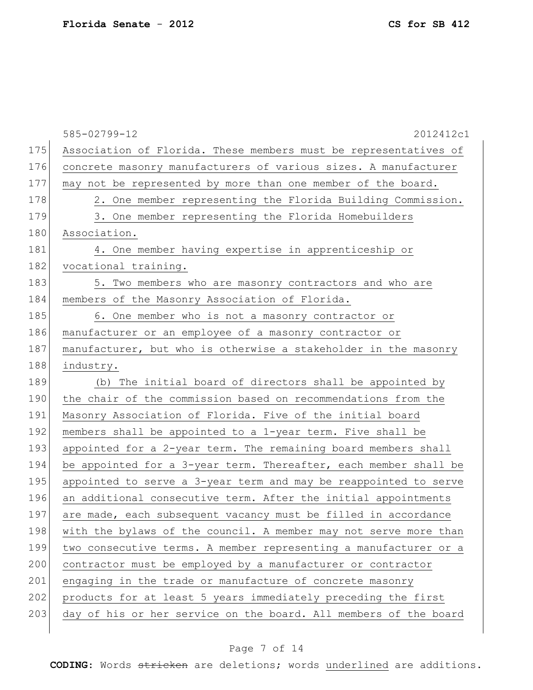|     | 585-02799-12<br>2012412c1                                        |
|-----|------------------------------------------------------------------|
| 175 | Association of Florida. These members must be representatives of |
| 176 | concrete masonry manufacturers of various sizes. A manufacturer  |
| 177 | may not be represented by more than one member of the board.     |
| 178 | 2. One member representing the Florida Building Commission.      |
| 179 | 3. One member representing the Florida Homebuilders              |
| 180 | Association.                                                     |
| 181 | 4. One member having expertise in apprenticeship or              |
| 182 | vocational training.                                             |
| 183 | 5. Two members who are masonry contractors and who are           |
| 184 | members of the Masonry Association of Florida.                   |
| 185 | 6. One member who is not a masonry contractor or                 |
| 186 | manufacturer or an employee of a masonry contractor or           |
| 187 | manufacturer, but who is otherwise a stakeholder in the masonry  |
| 188 | industry.                                                        |
| 189 | (b) The initial board of directors shall be appointed by         |
| 190 | the chair of the commission based on recommendations from the    |
| 191 | Masonry Association of Florida. Five of the initial board        |
| 192 | members shall be appointed to a 1-year term. Five shall be       |
| 193 | appointed for a 2-year term. The remaining board members shall   |
| 194 | be appointed for a 3-year term. Thereafter, each member shall be |
| 195 | appointed to serve a 3-year term and may be reappointed to serve |
| 196 | an additional consecutive term. After the initial appointments   |
| 197 | are made, each subsequent vacancy must be filled in accordance   |
| 198 | with the bylaws of the council. A member may not serve more than |
| 199 | two consecutive terms. A member representing a manufacturer or a |
| 200 | contractor must be employed by a manufacturer or contractor      |
| 201 | engaging in the trade or manufacture of concrete masonry         |
| 202 | products for at least 5 years immediately preceding the first    |
| 203 | day of his or her service on the board. All members of the board |
|     |                                                                  |

# Page 7 of 14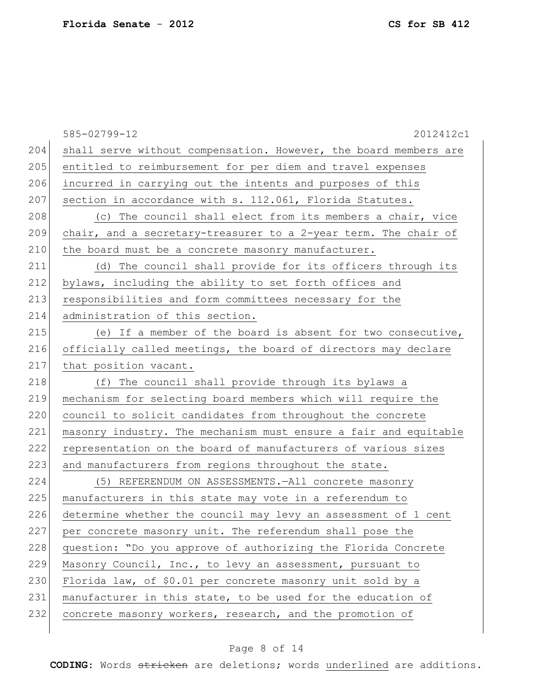|     | 585-02799-12<br>2012412c1                                        |
|-----|------------------------------------------------------------------|
| 204 | shall serve without compensation. However, the board members are |
| 205 | entitled to reimbursement for per diem and travel expenses       |
| 206 | incurred in carrying out the intents and purposes of this        |
| 207 | section in accordance with s. 112.061, Florida Statutes.         |
| 208 | (c) The council shall elect from its members a chair, vice       |
| 209 | chair, and a secretary-treasurer to a 2-year term. The chair of  |
| 210 | the board must be a concrete masonry manufacturer.               |
| 211 | (d) The council shall provide for its officers through its       |
| 212 | bylaws, including the ability to set forth offices and           |
| 213 | responsibilities and form committees necessary for the           |
| 214 | administration of this section.                                  |
| 215 | (e) If a member of the board is absent for two consecutive,      |
| 216 | officially called meetings, the board of directors may declare   |
| 217 | that position vacant.                                            |
| 218 | (f) The council shall provide through its bylaws a               |
| 219 | mechanism for selecting board members which will require the     |
| 220 | council to solicit candidates from throughout the concrete       |
| 221 | masonry industry. The mechanism must ensure a fair and equitable |
| 222 | representation on the board of manufacturers of various sizes    |
| 223 | and manufacturers from regions throughout the state.             |
| 224 | (5) REFERENDUM ON ASSESSMENTS. - All concrete masonry            |
| 225 | manufacturers in this state may vote in a referendum to          |
| 226 | determine whether the council may levy an assessment of 1 cent   |
| 227 | per concrete masonry unit. The referendum shall pose the         |
| 228 | question: "Do you approve of authorizing the Florida Concrete    |
| 229 | Masonry Council, Inc., to levy an assessment, pursuant to        |
| 230 | Florida law, of \$0.01 per concrete masonry unit sold by a       |
| 231 | manufacturer in this state, to be used for the education of      |
| 232 | concrete masonry workers, research, and the promotion of         |
|     |                                                                  |

# Page 8 of 14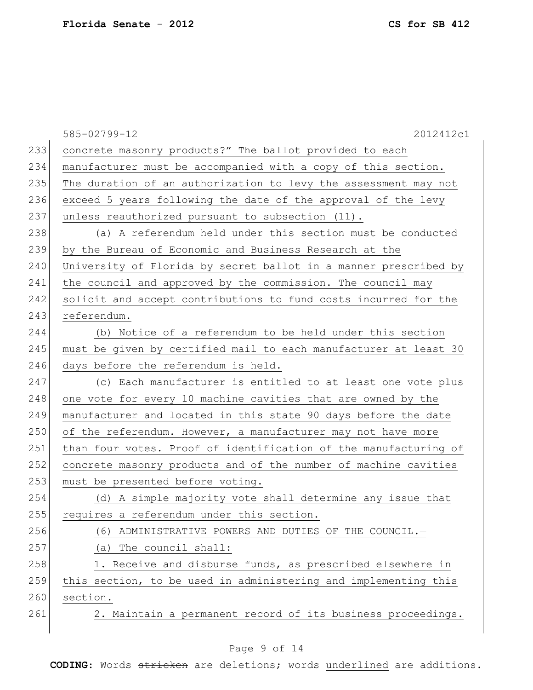|     | 2012412c1<br>585-02799-12                                        |
|-----|------------------------------------------------------------------|
| 233 | concrete masonry products?" The ballot provided to each          |
| 234 | manufacturer must be accompanied with a copy of this section.    |
| 235 | The duration of an authorization to levy the assessment may not  |
| 236 | exceed 5 years following the date of the approval of the levy    |
| 237 | unless reauthorized pursuant to subsection (11).                 |
| 238 | (a) A referendum held under this section must be conducted       |
| 239 | by the Bureau of Economic and Business Research at the           |
| 240 | University of Florida by secret ballot in a manner prescribed by |
| 241 | the council and approved by the commission. The council may      |
| 242 | solicit and accept contributions to fund costs incurred for the  |
| 243 | referendum.                                                      |
| 244 | (b) Notice of a referendum to be held under this section         |
| 245 | must be given by certified mail to each manufacturer at least 30 |
| 246 | days before the referendum is held.                              |
| 247 | (c) Each manufacturer is entitled to at least one vote plus      |
| 248 | one vote for every 10 machine cavities that are owned by the     |
| 249 | manufacturer and located in this state 90 days before the date   |
| 250 | of the referendum. However, a manufacturer may not have more     |
| 251 | than four votes. Proof of identification of the manufacturing of |
| 252 | concrete masonry products and of the number of machine cavities  |
| 253 | must be presented before voting.                                 |
| 254 | (d) A simple majority vote shall determine any issue that        |
| 255 | requires a referendum under this section                         |
| 256 | (6) ADMINISTRATIVE POWERS AND DUTIES OF THE COUNCIL.-            |
| 257 | (a) The council shall:                                           |
| 258 | 1. Receive and disburse funds, as prescribed elsewhere in        |
| 259 | this section, to be used in administering and implementing this  |
| 260 | section.                                                         |
| 261 | 2. Maintain a permanent record of its business proceedings.      |
|     |                                                                  |

# Page 9 of 14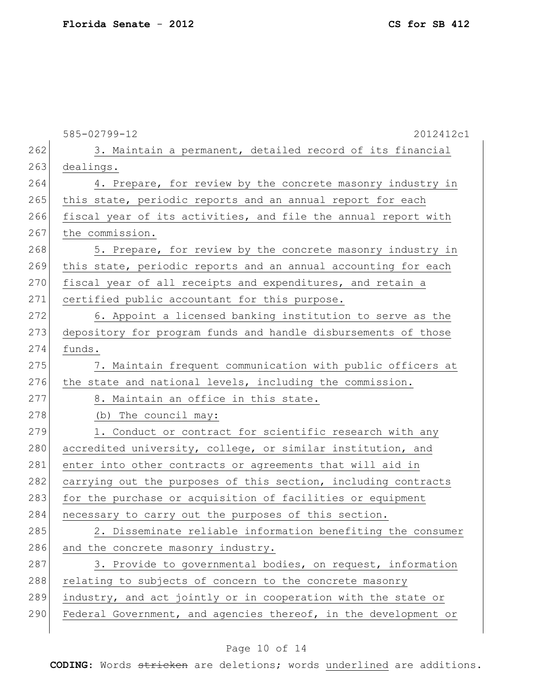585-02799-12 2012412c1 262 3. Maintain a permanent, detailed record of its financial 263 dealings. 264 4. Prepare, for review by the concrete masonry industry in 265 this state, periodic reports and an annual report for each 266 fiscal year of its activities, and file the annual report with 267 the commission. 268 5. Prepare, for review by the concrete masonry industry in 269 this state, periodic reports and an annual accounting for each 270 fiscal year of all receipts and expenditures, and retain a 271 certified public accountant for this purpose. 272 6. Appoint a licensed banking institution to serve as the 273 depository for program funds and handle disbursements of those 274 funds. 275 7. Maintain frequent communication with public officers at 276 the state and national levels, including the commission. 277 8. Maintain an office in this state. 278 (b) The council may: 279 1. Conduct or contract for scientific research with any 280 accredited university, college, or similar institution, and 281 enter into other contracts or agreements that will aid in 282 carrying out the purposes of this section, including contracts 283 for the purchase or acquisition of facilities or equipment 284 necessary to carry out the purposes of this section. 285 2. Disseminate reliable information benefiting the consumer 286 and the concrete masonry industry. 287 3. Provide to governmental bodies, on request, information 288 relating to subjects of concern to the concrete masonry 289 industry, and act jointly or in cooperation with the state or 290 Federal Government, and agencies thereof, in the development or

#### Page 10 of 14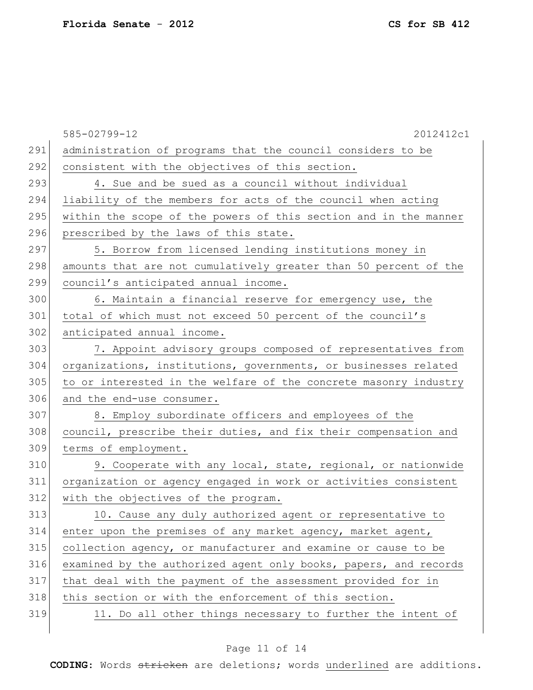|     | 585-02799-12<br>2012412c1                                        |
|-----|------------------------------------------------------------------|
| 291 | administration of programs that the council considers to be      |
| 292 | consistent with the objectives of this section.                  |
| 293 | 4. Sue and be sued as a council without individual               |
| 294 | liability of the members for acts of the council when acting     |
| 295 | within the scope of the powers of this section and in the manner |
| 296 | prescribed by the laws of this state.                            |
| 297 | 5. Borrow from licensed lending institutions money in            |
| 298 | amounts that are not cumulatively greater than 50 percent of the |
| 299 | council's anticipated annual income.                             |
| 300 | 6. Maintain a financial reserve for emergency use, the           |
| 301 | total of which must not exceed 50 percent of the council's       |
| 302 | anticipated annual income.                                       |
| 303 | 7. Appoint advisory groups composed of representatives from      |
| 304 | organizations, institutions, governments, or businesses related  |
| 305 | to or interested in the welfare of the concrete masonry industry |
| 306 | and the end-use consumer.                                        |
| 307 | 8. Employ subordinate officers and employees of the              |
| 308 | council, prescribe their duties, and fix their compensation and  |
| 309 | terms of employment.                                             |
| 310 | 9. Cooperate with any local, state, regional, or nationwide      |
| 311 | organization or agency engaged in work or activities consistent  |
| 312 | with the objectives of the program.                              |
| 313 | 10. Cause any duly authorized agent or representative to         |
| 314 | enter upon the premises of any market agency, market agent,      |
| 315 | collection agency, or manufacturer and examine or cause to be    |
| 316 | examined by the authorized agent only books, papers, and records |
| 317 | that deal with the payment of the assessment provided for in     |
| 318 | this section or with the enforcement of this section.            |
| 319 | 11. Do all other things necessary to further the intent of       |
|     |                                                                  |

# Page 11 of 14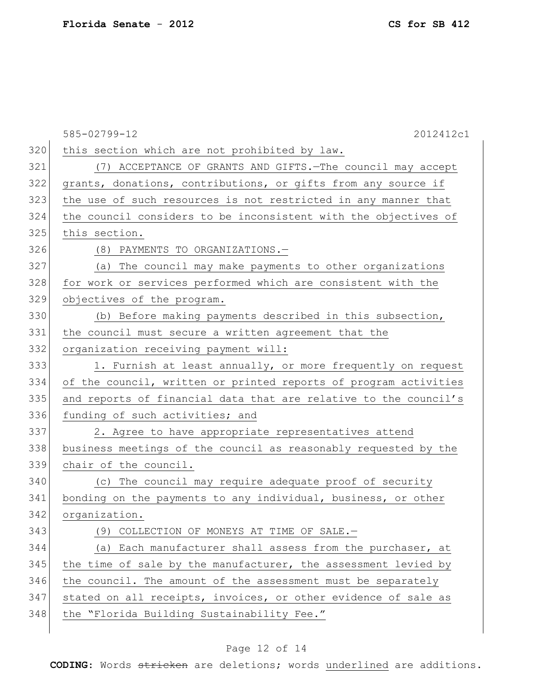|     | 2012412c1<br>585-02799-12                                        |
|-----|------------------------------------------------------------------|
| 320 | this section which are not prohibited by law.                    |
| 321 | (7) ACCEPTANCE OF GRANTS AND GIFTS. - The council may accept     |
| 322 | grants, donations, contributions, or gifts from any source if    |
| 323 | the use of such resources is not restricted in any manner that   |
| 324 | the council considers to be inconsistent with the objectives of  |
| 325 | this section.                                                    |
| 326 | (8) PAYMENTS TO ORGANIZATIONS.-                                  |
| 327 | (a) The council may make payments to other organizations         |
| 328 | for work or services performed which are consistent with the     |
| 329 | objectives of the program.                                       |
| 330 | (b) Before making payments described in this subsection,         |
| 331 | the council must secure a written agreement that the             |
| 332 | organization receiving payment will:                             |
| 333 | 1. Furnish at least annually, or more frequently on request      |
| 334 | of the council, written or printed reports of program activities |
| 335 | and reports of financial data that are relative to the council's |
| 336 | funding of such activities; and                                  |
| 337 | 2. Agree to have appropriate representatives attend              |
| 338 | business meetings of the council as reasonably requested by the  |
| 339 | chair of the council.                                            |
| 340 | (c) The council may require adequate proof of security           |
| 341 | bonding on the payments to any individual, business, or other    |
| 342 | organization.                                                    |
| 343 | (9) COLLECTION OF MONEYS AT TIME OF SALE.-                       |
| 344 | (a) Each manufacturer shall assess from the purchaser, at        |
| 345 | the time of sale by the manufacturer, the assessment levied by   |
| 346 | the council. The amount of the assessment must be separately     |
| 347 | stated on all receipts, invoices, or other evidence of sale as   |
| 348 | the "Florida Building Sustainability Fee."                       |
|     |                                                                  |

# Page 12 of 14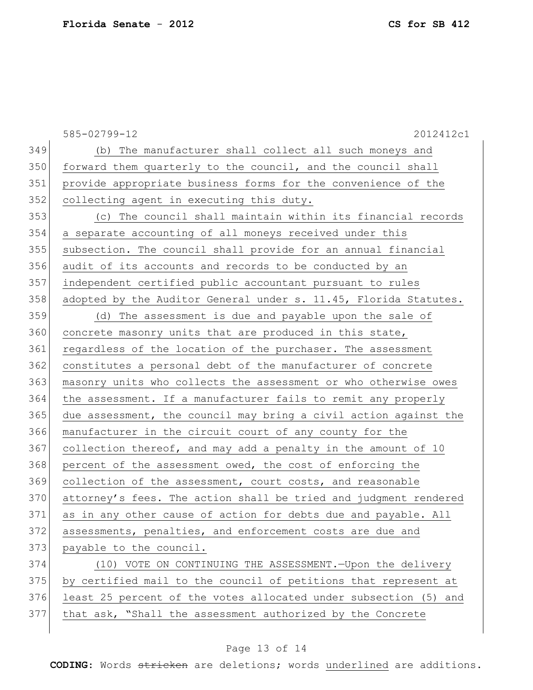|     | 585-02799-12<br>2012412c1                                        |
|-----|------------------------------------------------------------------|
| 349 | (b) The manufacturer shall collect all such moneys and           |
| 350 | forward them quarterly to the council, and the council shall     |
| 351 | provide appropriate business forms for the convenience of the    |
| 352 | collecting agent in executing this duty.                         |
| 353 | (c) The council shall maintain within its financial records      |
| 354 | a separate accounting of all moneys received under this          |
| 355 | subsection. The council shall provide for an annual financial    |
| 356 | audit of its accounts and records to be conducted by an          |
| 357 | independent certified public accountant pursuant to rules        |
| 358 | adopted by the Auditor General under s. 11.45, Florida Statutes. |
| 359 | (d) The assessment is due and payable upon the sale of           |
| 360 | concrete masonry units that are produced in this state,          |
| 361 | regardless of the location of the purchaser. The assessment      |
| 362 | constitutes a personal debt of the manufacturer of concrete      |
| 363 | masonry units who collects the assessment or who otherwise owes  |
| 364 | the assessment. If a manufacturer fails to remit any properly    |
| 365 | due assessment, the council may bring a civil action against the |
| 366 | manufacturer in the circuit court of any county for the          |
| 367 | collection thereof, and may add a penalty in the amount of 10    |
| 368 | percent of the assessment owed, the cost of enforcing the        |
| 369 | collection of the assessment, court costs, and reasonable        |
| 370 | attorney's fees. The action shall be tried and judgment rendered |
| 371 | as in any other cause of action for debts due and payable. All   |
| 372 | assessments, penalties, and enforcement costs are due and        |
| 373 | payable to the council.                                          |
| 374 | (10) VOTE ON CONTINUING THE ASSESSMENT. - Upon the delivery      |
| 375 | by certified mail to the council of petitions that represent at  |
| 376 | least 25 percent of the votes allocated under subsection (5) and |
| 377 | that ask, "Shall the assessment authorized by the Concrete       |

# Page 13 of 14